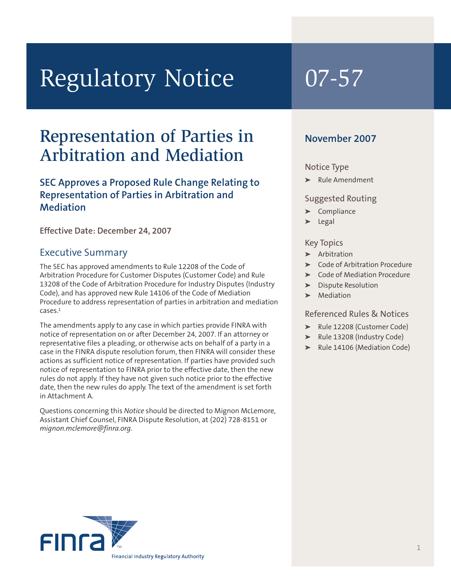# Regulatory Notice 07-57

## Representation of Parties in Arbitration and Mediation

#### **SEC Approves a Proposed Rule Change Relating to Representation of Parties in Arbitration and Mediation**

**Effective Date: December 24, 2007**

#### Executive Summary

The SEC has approved amendments to Rule 12208 of the Code of Arbitration Procedure for Customer Disputes (Customer Code) and Rule 13208 of the Code of Arbitration Procedure for Industry Disputes (Industry Code), and has approved new Rule 14106 of the Code of Mediation Procedure to address representation of parties in arbitration and mediation cases. 1

The amendments apply to any case in which parties provide FINRA with notice of representation on or after December 24, 2007. If an attorney or representative files a pleading, or otherwise acts on behalf of a party in a case in the FINRA dispute resolution forum, then FINRA will consider these actions as sufficient notice of representation. If parties have provided such notice of representation to FINRA prior to the effective date, then the new rules do not apply. If they have not given such notice prior to the effective date, then the new rules do apply. The text of the amendment is set forth in Attachment A.

Questions concerning this *Notice* should be directed to Mignon McLemore, Assistant Chief Counsel, FINRA Dispute Resolution, at (202) 728-8151 or *mignon.mclemore@finra.org.*

#### **November 2007**

#### Notice Type

➤ Rule Amendment

#### Suggested Routing

- ➤ Compliance
- ➤ Legal

#### Key Topics

- ➤ Arbitration
- ➤ Code of Arbitration Procedure
- ➤ Code of Mediation Procedure
- ➤ Dispute Resolution
- **Mediation**

#### Referenced Rules & Notices

- ➤ Rule 12208 (Customer Code)
- ➤ Rule 13208 (Industry Code)
- ➤ Rule 14106 (Mediation Code)

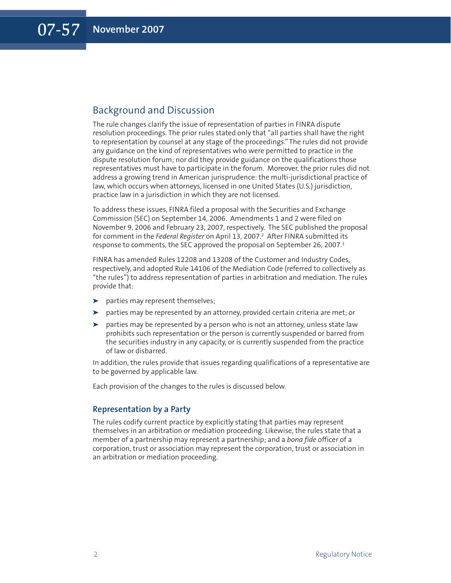#### Background and Discussion

The rule changes clarify the issue of representation of parties in FINRA dispute resolution proceedings. The prior rules stated only that "all parties shall have the right to representation by counsel at any stage of the proceedings."The rules did not provide any guidance on the kind of representatives who were permitted to practice in the dispute resolution forum; nor did they provide guidance on the qualifications those representatives must have to participate in the forum. Moreover, the prior rules did not address a growing trend in American jurisprudence: the multi-jurisdictional practice of law, which occurs when attorneys, licensed in one United States (U.S.) jurisdiction, practice law in a jurisdiction in which they are not licensed.

To address these issues, FINRA filed a proposal with the Securities and Exchange Commission (SEC) on September 14, 2006. Amendments 1 and 2 were filed on November 9, 2006 and February 23, 2007, respectively. The SEC published the proposal for comment in the *Federal Register* on April 13, 2007. <sup>2</sup> After FINRA submitted its response to comments, the SEC approved the proposal on September 26, 2007. 3

FINRA has amended Rules 12208 and 13208 of the Customer and Industry Codes, respectively, and adopted Rule 14106 of the Mediation Code (referred to collectively as "the rules") to address representation of parties in arbitration and mediation. The rules provide that:

- ➤ parties may represent themselves;
- ➤ parties may be represented by an attorney, provided certain criteria are met; or
- ➤ parties may be represented by a person who is not an attorney, unless state law prohibits such representation or the person is currently suspended or barred from the securities industry in any capacity, or is currently suspended from the practice of law or disbarred.

In addition, the rules provide that issues regarding qualifications of a representative are to be governed by applicable law.

Each provision of the changes to the rules is discussed below.

#### **Representation by a Party**

The rules codify current practice by explicitly stating that parties may represent themselves in an arbitration or mediation proceeding. Likewise, the rules state that a member of a partnership may represent a partnership; and a *bona fide* officer of a corporation, trust or association may represent the corporation, trust or association in an arbitration or mediation proceeding.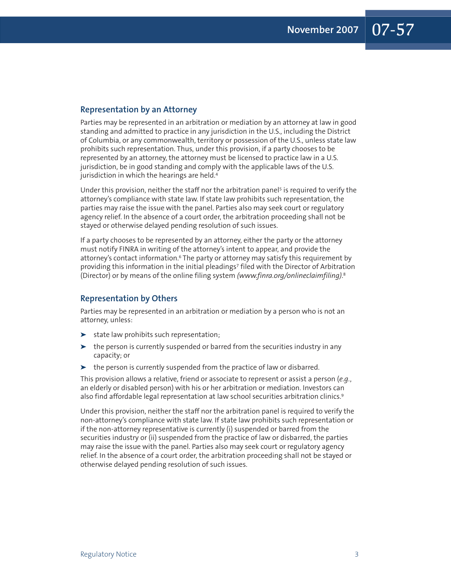#### **Representation by an Attorney**

Parties may be represented in an arbitration or mediation by an attorney at law in good standing and admitted to practice in any jurisdiction in the U.S., including the District of Columbia, or any commonwealth, territory or possession of the U.S., unless state law prohibits such representation. Thus, under this provision, if a party chooses to be represented by an attorney, the attorney must be licensed to practice law in a U.S. jurisdiction, be in good standing and comply with the applicable laws of the U.S. jurisdiction in which the hearings are held. 4

Under this provision, neither the staff nor the arbitration panel <sup>5</sup> is required to verify the attorney's compliance with state law. If state law prohibits such representation, the parties may raise the issue with the panel. Parties also may seek court or regulatory agency relief. In the absence of a court order, the arbitration proceeding shall not be stayed or otherwise delayed pending resolution of such issues.

If a party chooses to be represented by an attorney, either the party or the attorney must notify FINRA in writing of the attorney's intent to appear, and provide the attorney's contact information.6 The party or attorney may satisfy this requirement by providing this information in the initial pleadings<sup>7</sup> filed with the Director of Arbitration (Director) or by means of the online filing system *(www.finra.org/onlineclaimfiling)*. 8

#### **Representation by Others**

Parties may be represented in an arbitration or mediation by a person who is not an attorney, unless:

- ➤ state law prohibits such representation;
- $\blacktriangleright$  the person is currently suspended or barred from the securities industry in any capacity; or
- ➤ the person is currently suspended from the practice of law or disbarred.

This provision allows a relative, friend or associate to represent or assist a person (*e.g.*, an elderly or disabled person) with his or her arbitration or mediation. Investors can also find affordable legal representation at law school securities arbitration clinics. 9

Under this provision, neither the staff nor the arbitration panel is required to verify the non-attorney's compliance with state law. If state law prohibits such representation or if the non-attorney representative is currently (i) suspended or barred from the securities industry or (ii) suspended from the practice of law or disbarred, the parties may raise the issue with the panel. Parties also may seek court or regulatory agency relief. In the absence of a court order, the arbitration proceeding shall not be stayed or otherwise delayed pending resolution of such issues.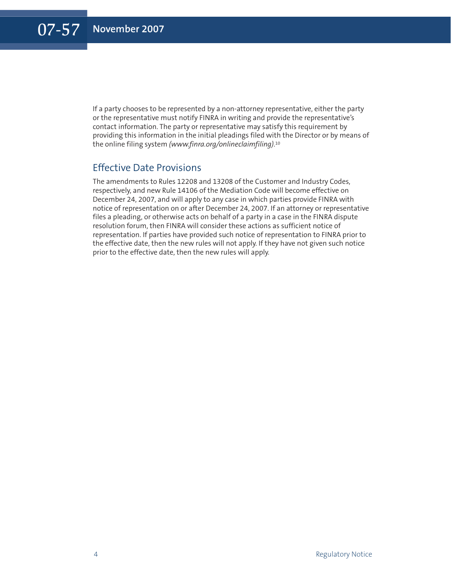If a party chooses to be represented by a non-attorney representative, either the party or the representative must notify FINRA in writing and provide the representative's contact information. The party or representative may satisfy this requirement by providing this information in the initial pleadings filed with the Director or by means of the online filing system *(www.finra.org/onlineclaimfiling)*. 10

#### Effective Date Provisions

The amendments to Rules 12208 and 13208 of the Customer and Industry Codes, respectively, and new Rule 14106 of the Mediation Code will become effective on December 24, 2007, and will apply to any case in which parties provide FINRA with notice of representation on or after December 24, 2007. If an attorney or representative files a pleading, or otherwise acts on behalf of a party in a case in the FINRA dispute resolution forum, then FINRA will consider these actions as sufficient notice of representation. If parties have provided such notice of representation to FINRA prior to the effective date, then the new rules will not apply. If they have not given such notice prior to the effective date, then the new rules will apply.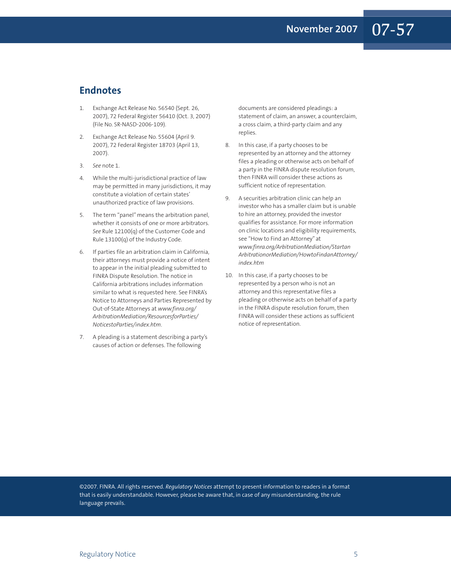#### **Endnotes**

- 1. Exchange Act Release No. 56540 (Sept. 26, 2007), 72 Federal Register 56410 (Oct. 3, 2007) (File No. SR-NASD-2006-109).
- 2. Exchange Act Release No. 55604 (April 9. 2007), 72 Federal Register 18703 (April 13, 2007).
- 3. *See* note 1.
- 4. While the multi-jurisdictional practice of law may be permitted in many jurisdictions, it may constitute a violation of certain states' unauthorized practice of law provisions.
- 5. The term "panel" means the arbitration panel, whether it consists of one or more arbitrators. *See* Rule 12100(q) of the Customer Code and Rule 13100(q) of the Industry Code.
- 6. If parties file an arbitration claim in California, their attorneys must provide a notice of intent to appear in the initial pleading submitted to FINRA Dispute Resolution. The notice in California arbitrations includes information similar to what is requested here. See FINRA's Notice to Attorneys and Parties Represented by Out-of-State Attorneys at *www.finra.org/ ArbitrationMediation/ResourcesforParties/ NoticestoParties/index.htm*.
- 7. A pleading is a statement describing a party's causes of action or defenses. The following

documents are considered pleadings: a statement of claim, an answer, a counterclaim, a cross claim, a third-party claim and any replies.

- 8. In this case, if a party chooses to be represented by an attorney and the attorney files a pleading or otherwise acts on behalf of a party in the FINRA dispute resolution forum, then FINRA will consider these actions as sufficient notice of representation.
- 9. A securities arbitration clinic can help an investor who has a smaller claim but is unable to hire an attorney, provided the investor qualifies for assistance. For more information on clinic locations and eligibility requirements, see "How to Find an Attorney" at *www.finra.org/ArbitrationMediation/Startan ArbitrationorMediation/HowtoFindanAttorney/ index.htm*
- 10. In this case, if a party chooses to be represented by a person who is not an attorney and this representative files a pleading or otherwise acts on behalf of a party in the FINRA dispute resolution forum, then FINRA will consider these actions as sufficient notice of representation.

©2007. FINRA. All rights reserved. *Regulatory Notices* attempt to present information to readers in a format that is easily understandable. However, please be aware that, in case of any misunderstanding, the rule language prevails.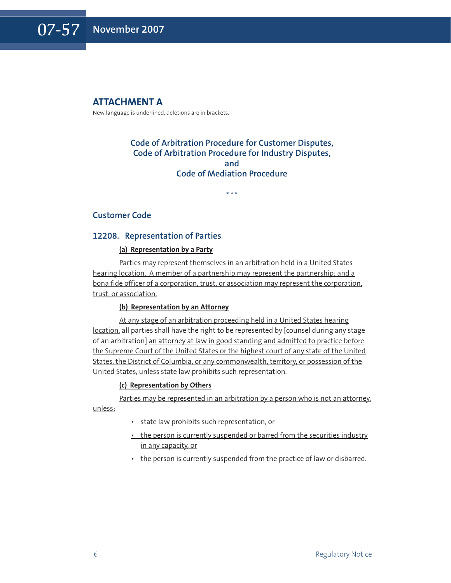#### **ATTACHMENT A**

New language is underlined, deletions are in brackets.

#### **Code of Arbitration Procedure for Customer Disputes, Code of Arbitration Procedure for Industry Disputes, and Code of Mediation Procedure**

\* \* \*

#### **Customer Code**

#### **12208. Representation of Parties**

#### **(a) Representation by a Party**

Parties may represent themselves in an arbitration held in a United States hearing location. A member of a partnership may represent the partnership; and a bona fide officer of a corporation, trust, or association may represent the corporation, trust, or association.

#### **(b) Representation by an Attorney**

At any stage of an arbitration proceeding held in a United States hearing location, all parties shall have the right to be represented by [counsel during any stage of an arbitration] an attorney at law in good standing and admitted to practice before the Supreme Court of the United States or the highest court of any state of the United States, the District of Columbia, or any commonwealth, territory, or possession of the United States, unless state law prohibits such representation.

#### **(c) Representation by Others**

Parties may be represented in an arbitration by a person who is not an attorney, unless:

- state law prohibits such representation, or
- the person is currently suspended or barred from the securities industry in any capacity, or
- the person is currently suspended from the practice of law or disbarred.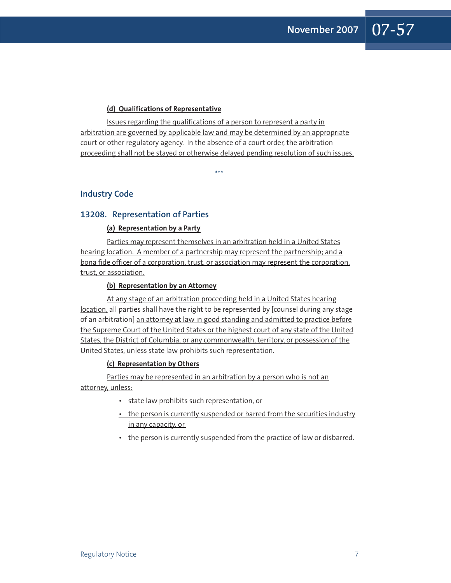#### **(d) Qualifications of Representative**

Issues regarding the qualifications of a person to represent a party in arbitration are governed by applicable law and may be determined by an appropriate court or other regulatory agency. In the absence of a court order, the arbitration proceeding shall not be stayed or otherwise delayed pending resolution of such issues.

\*\*\*

**Industry Code**

#### **13208. Representation of Parties**

#### **(a) Representation by a Party**

Parties may represent themselves in an arbitration held in a United States hearing location. A member of a partnership may represent the partnership; and a bona fide officer of a corporation, trust, or association may represent the corporation, trust, or association.

#### **(b) Representation by an Attorney**

At any stage of an arbitration proceeding held in a United States hearing location, all parties shall have the right to be represented by [counsel during any stage of an arbitration] an attorney at law in good standing and admitted to practice before the Supreme Court of the United States or the highest court of any state of the United States, the District of Columbia, or any commonwealth, territory, or possession of the United States, unless state law prohibits such representation.

#### **(c) Representation by Others**

Parties may be represented in an arbitration by a person who is not an attorney, unless:

- state law prohibits such representation, or
- the person is currently suspended or barred from the securities industry in any capacity, or
- the person is currently suspended from the practice of law or disbarred.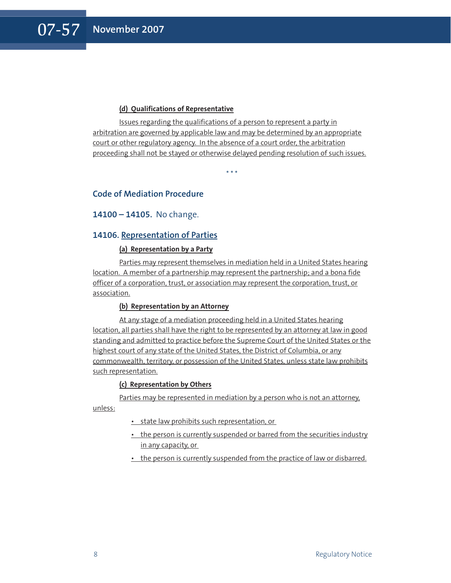#### **(d) Qualifications of Representative**

Issues regarding the qualifications of a person to represent a party in arbitration are governed by applicable law and may be determined by an appropriate court or other regulatory agency. In the absence of a court order, the arbitration proceeding shall not be stayed or otherwise delayed pending resolution of such issues.

\* \* \*

#### **Code of Mediation Procedure**

#### **14100 – 14105.** No change.

#### **14106. Representation of Parties**

#### **(a) Representation by a Party**

Parties may represent themselves in mediation held in a United States hearing location. A member of a partnership may represent the partnership; and a bona fide officer of a corporation, trust, or association may represent the corporation, trust, or association.

#### **(b) Representation by an Attorney**

At any stage of a mediation proceeding held in a United States hearing location, all parties shall have the right to be represented by an attorney at law in good standing and admitted to practice before the Supreme Court of the United States or the highest court of any state of the United States, the District of Columbia, or any commonwealth, territory, or possession of the United States, unless state law prohibits such representation.

#### **(c) Representation by Others**

Parties may be represented in mediation by a person who is not an attorney,

unless:

- state law prohibits such representation, or
- the person is currently suspended or barred from the securities industry in any capacity, or
- the person is currently suspended from the practice of law or disbarred.